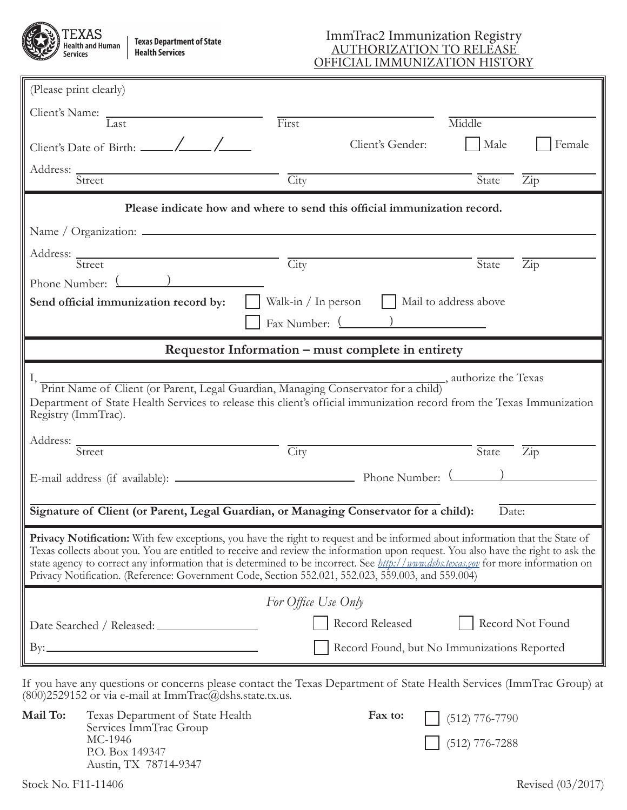**partment of State** ervices

## ImmTrac2 Immunization Registry AUTHORIZATION TO RELEASE OFFICIAL IMMUNIZATION HISTORY

| (Please print clearly)                                                                                                                                                                                                                                                                                                                                                                                                                                                                                              |                                                                          |                                             |  |  |
|---------------------------------------------------------------------------------------------------------------------------------------------------------------------------------------------------------------------------------------------------------------------------------------------------------------------------------------------------------------------------------------------------------------------------------------------------------------------------------------------------------------------|--------------------------------------------------------------------------|---------------------------------------------|--|--|
|                                                                                                                                                                                                                                                                                                                                                                                                                                                                                                                     |                                                                          |                                             |  |  |
| $\overline{\text{Last}}$                                                                                                                                                                                                                                                                                                                                                                                                                                                                                            | First                                                                    | Middle                                      |  |  |
|                                                                                                                                                                                                                                                                                                                                                                                                                                                                                                                     | Client's Gender:                                                         | Male<br>Female                              |  |  |
| Address: _<br>Street                                                                                                                                                                                                                                                                                                                                                                                                                                                                                                | City                                                                     | State<br>$\overline{Zip}$                   |  |  |
|                                                                                                                                                                                                                                                                                                                                                                                                                                                                                                                     |                                                                          |                                             |  |  |
|                                                                                                                                                                                                                                                                                                                                                                                                                                                                                                                     | Please indicate how and where to send this official immunization record. |                                             |  |  |
| Name $\frac{1}{2}$ Organization: $\frac{1}{2}$                                                                                                                                                                                                                                                                                                                                                                                                                                                                      |                                                                          |                                             |  |  |
| Address: Street                                                                                                                                                                                                                                                                                                                                                                                                                                                                                                     | City                                                                     | State<br>$\overline{Zip}$                   |  |  |
| Phone Number: (2008)                                                                                                                                                                                                                                                                                                                                                                                                                                                                                                |                                                                          |                                             |  |  |
| Send official immunization record by:                                                                                                                                                                                                                                                                                                                                                                                                                                                                               | Walk-in / In person Mail to address above                                |                                             |  |  |
|                                                                                                                                                                                                                                                                                                                                                                                                                                                                                                                     | $\text{Fax Number: }$ $\boxed{\qquad}$                                   |                                             |  |  |
| Requestor Information – must complete in entirety                                                                                                                                                                                                                                                                                                                                                                                                                                                                   |                                                                          |                                             |  |  |
| Print Name of Client (or Parent, Legal Guardian, Managing Conservator for a child), authorize the Texas<br>Department of State Health Services to release this client's official immunization record from the Texas Immunization<br>Registry (ImmTrac).                                                                                                                                                                                                                                                             |                                                                          |                                             |  |  |
| Address: Street                                                                                                                                                                                                                                                                                                                                                                                                                                                                                                     | City                                                                     | State<br>$\overline{\mathrm{Zip}}$          |  |  |
|                                                                                                                                                                                                                                                                                                                                                                                                                                                                                                                     |                                                                          |                                             |  |  |
|                                                                                                                                                                                                                                                                                                                                                                                                                                                                                                                     |                                                                          |                                             |  |  |
| Signature of Client (or Parent, Legal Guardian, or Managing Conservator for a child):                                                                                                                                                                                                                                                                                                                                                                                                                               |                                                                          | Date:                                       |  |  |
| Privacy Notification: With few exceptions, you have the right to request and be informed about information that the State of<br>Texas collects about you. You are entitled to receive and review the information upon request. You also have the right to ask the<br>state agency to correct any information that is determined to be incorrect. See <i>http://www.dshs.texas.gov</i> for more information on<br>Privacy Notification. (Reference: Government Code, Section 552.021, 552.023, 559.003, and 559.004) |                                                                          |                                             |  |  |
|                                                                                                                                                                                                                                                                                                                                                                                                                                                                                                                     | For Office Use Only                                                      |                                             |  |  |
| Date Searched / Released: _                                                                                                                                                                                                                                                                                                                                                                                                                                                                                         | Record Released                                                          | Record Not Found                            |  |  |
| By: $\qquad \qquad$                                                                                                                                                                                                                                                                                                                                                                                                                                                                                                 |                                                                          | Record Found, but No Immunizations Reported |  |  |
| If you have any questions or concerns please contact the Texas Department of State Health Services (ImmTrac Group) at                                                                                                                                                                                                                                                                                                                                                                                               |                                                                          |                                             |  |  |
| $(800)$ 2529152 or via e-mail at ImmTrac@dshs.state.tx.us.                                                                                                                                                                                                                                                                                                                                                                                                                                                          |                                                                          |                                             |  |  |
| Mail To:<br>Texas Department of State Health<br>Services ImmTrac Group                                                                                                                                                                                                                                                                                                                                                                                                                                              | Fax to:                                                                  | $(512)$ 776-7790                            |  |  |

MC-1946

 $\boxed{\phantom{1}}$  (512) 776-7288